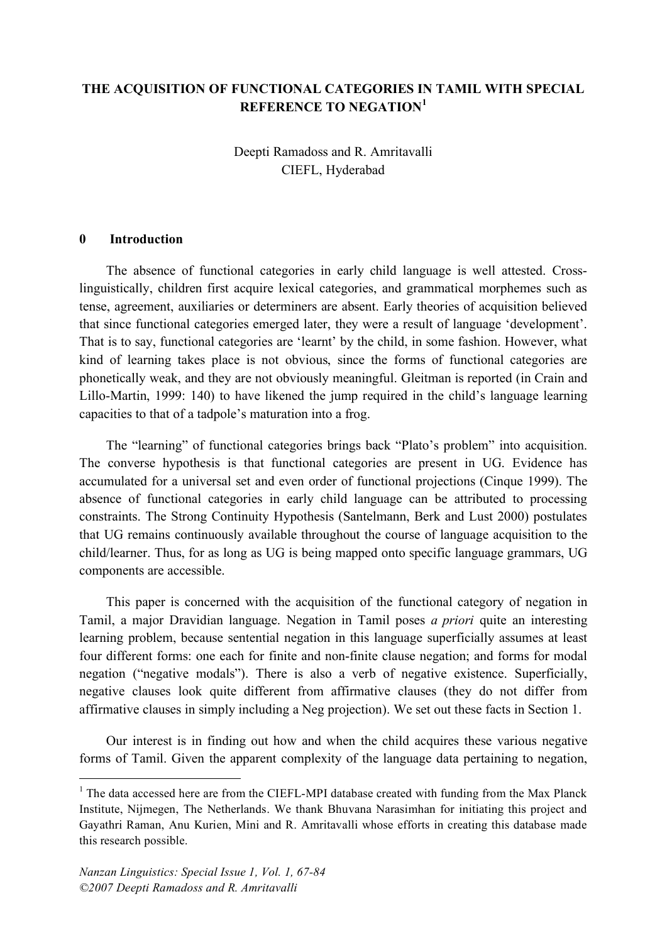#### **THE ACQUISITION OF FUNCTIONAL CATEGORIES IN TAMIL WITH SPECIAL REFERENCE TO NEGATION<sup>1</sup>**

## Deepti Ramadoss and R. Amritavalli CIEFL, Hyderabad

#### **0 Introduction**

The absence of functional categories in early child language is well attested. Crosslinguistically, children first acquire lexical categories, and grammatical morphemes such as tense, agreement, auxiliaries or determiners are absent. Early theories of acquisition believed that since functional categories emerged later, they were a result of language 'development'. That is to say, functional categories are 'learnt' by the child, in some fashion. However, what kind of learning takes place is not obvious, since the forms of functional categories are phonetically weak, and they are not obviously meaningful. Gleitman is reported (in Crain and Lillo-Martin, 1999: 140) to have likened the jump required in the child's language learning capacities to that of a tadpole's maturation into a frog.

The "learning" of functional categories brings back "Plato's problem" into acquisition. The converse hypothesis is that functional categories are present in UG. Evidence has accumulated for a universal set and even order of functional projections (Cinque 1999). The absence of functional categories in early child language can be attributed to processing constraints. The Strong Continuity Hypothesis (Santelmann, Berk and Lust 2000) postulates that UG remains continuously available throughout the course of language acquisition to the child/learner. Thus, for as long as UG is being mapped onto specific language grammars, UG components are accessible.

This paper is concerned with the acquisition of the functional category of negation in Tamil, a major Dravidian language. Negation in Tamil poses *a priori* quite an interesting learning problem, because sentential negation in this language superficially assumes at least four different forms: one each for finite and non-finite clause negation; and forms for modal negation ("negative modals"). There is also a verb of negative existence. Superficially, negative clauses look quite different from affirmative clauses (they do not differ from affirmative clauses in simply including a Neg projection). We set out these facts in Section 1.

Our interest is in finding out how and when the child acquires these various negative forms of Tamil. Given the apparent complexity of the language data pertaining to negation,

 $1$ <sup>1</sup> The data accessed here are from the CIEFL-MPI database created with funding from the Max Planck Institute, Nijmegen, The Netherlands. We thank Bhuvana Narasimhan for initiating this project and Gayathri Raman, Anu Kurien, Mini and R. Amritavalli whose efforts in creating this database made this research possible.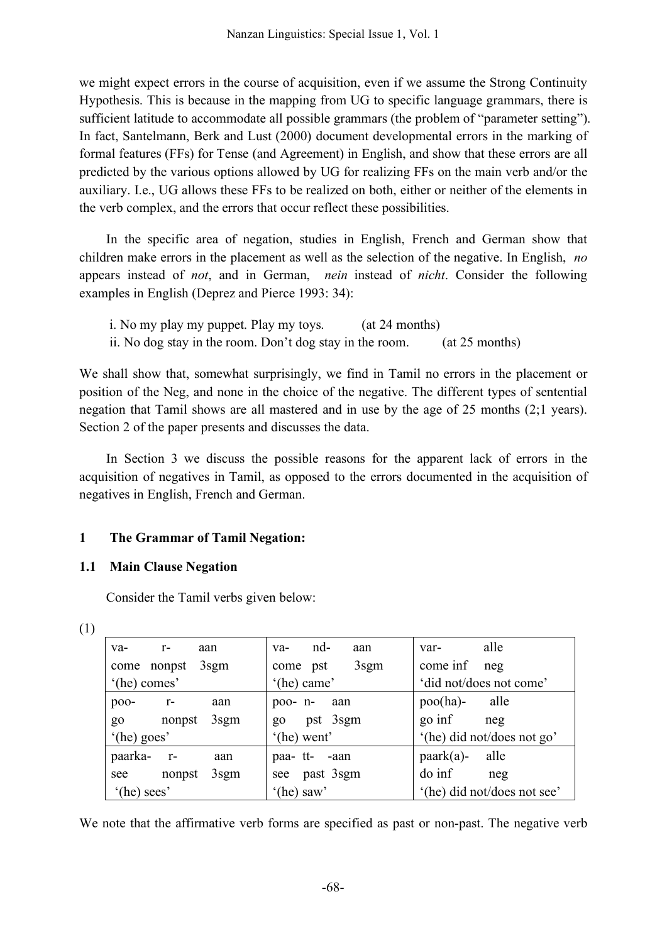we might expect errors in the course of acquisition, even if we assume the Strong Continuity Hypothesis. This is because in the mapping from UG to specific language grammars, there is sufficient latitude to accommodate all possible grammars (the problem of "parameter setting"). In fact, Santelmann, Berk and Lust (2000) document developmental errors in the marking of formal features (FFs) for Tense (and Agreement) in English, and show that these errors are all predicted by the various options allowed by UG for realizing FFs on the main verb and/or the auxiliary. I.e., UG allows these FFs to be realized on both, either or neither of the elements in the verb complex, and the errors that occur reflect these possibilities.

In the specific area of negation, studies in English, French and German show that children make errors in the placement as well as the selection of the negative. In English, *no* appears instead of *not*, and in German, *nein* instead of *nicht*. Consider the following examples in English (Deprez and Pierce 1993: 34):

i. No my play my puppet. Play my toys. (at 24 months) ii. No dog stay in the room. Don't dog stay in the room. (at 25 months)

We shall show that, somewhat surprisingly, we find in Tamil no errors in the placement or position of the Neg, and none in the choice of the negative. The different types of sentential negation that Tamil shows are all mastered and in use by the age of 25 months (2;1 years). Section 2 of the paper presents and discusses the data.

In Section 3 we discuss the possible reasons for the apparent lack of errors in the acquisition of negatives in Tamil, as opposed to the errors documented in the acquisition of negatives in English, French and German.

## **1 The Grammar of Tamil Negation:**

## **1.1 Main Clause Negation**

Consider the Tamil verbs given below:

| va-<br>$r-$<br>aan          | nd-<br>aan<br>va-            | alle<br>var-                |  |  |
|-----------------------------|------------------------------|-----------------------------|--|--|
| 3sgm<br>come nonpst         | 3 <sub>sgm</sub><br>come pst | come inf<br>neg             |  |  |
| '(he) comes'                | (he) came'                   | 'did not/does not come'     |  |  |
| $poo-$<br>$r-$<br>aan       | poo- n-<br>aan               | $poo(ha)$ -<br>alle         |  |  |
| 3sgm<br><b>go</b><br>nonpst | pst 3sgm<br><b>go</b>        | go inf<br>neg               |  |  |
| '(he) goes'                 | $^{\circ}$ (he) went'        | '(he) did not/does not go'  |  |  |
| paarka- r-<br>aan           | paa-tt--aan                  | $\text{paark}(a)$ -<br>alle |  |  |
| 3sgm<br>nonpst<br>see       | see past 3sgm                | do inf<br>neg               |  |  |
| '(he) sees'                 | $^{\circ}$ (he) saw'         | '(he) did not/does not see' |  |  |

We note that the affirmative verb forms are specified as past or non-past. The negative verb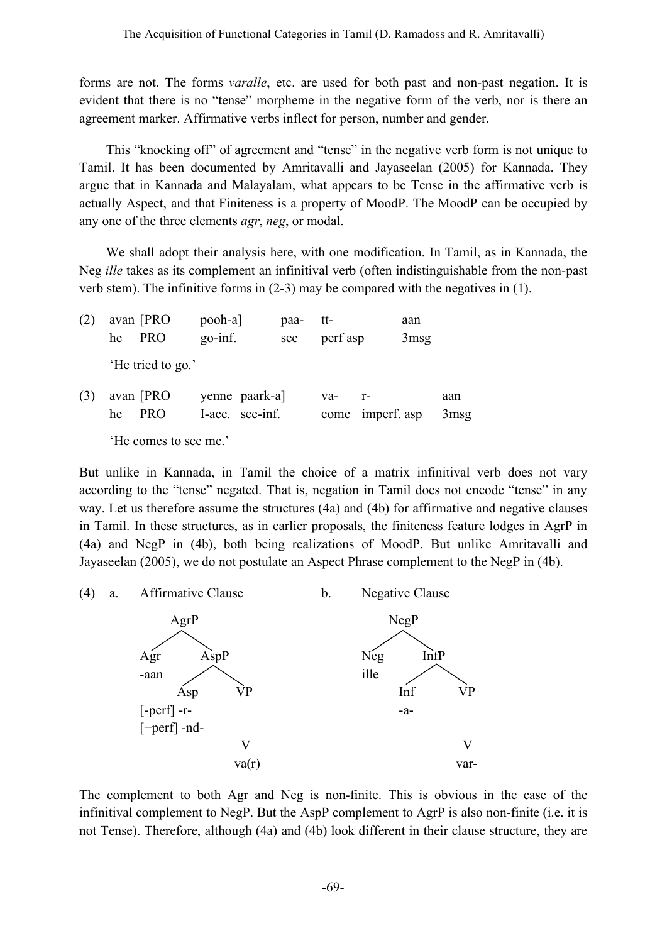forms are not. The forms *varalle*, etc. are used for both past and non-past negation. It is evident that there is no "tense" morpheme in the negative form of the verb, nor is there an agreement marker. Affirmative verbs inflect for person, number and gender.

This "knocking off" of agreement and "tense" in the negative verb form is not unique to Tamil. It has been documented by Amritavalli and Jayaseelan (2005) for Kannada. They argue that in Kannada and Malayalam, what appears to be Tense in the affirmative verb is actually Aspect, and that Finiteness is a property of MoodP. The MoodP can be occupied by any one of the three elements *agr*, *neg*, or modal.

We shall adopt their analysis here, with one modification. In Tamil, as in Kannada, the Neg *ille* takes as its complement an infinitival verb (often indistinguishable from the non-past verb stem). The infinitive forms in (2-3) may be compared with the negatives in (1).

| (2) | he | avan [PRO]<br><b>PRO</b> | pooh-a]<br>$go\text{-}inf.$       | paa-<br>see | tt-<br>perf asp |                          | aan<br>3 <sub>msg</sub> |                         |
|-----|----|--------------------------|-----------------------------------|-------------|-----------------|--------------------------|-------------------------|-------------------------|
|     |    | 'He tried to go.'        |                                   |             |                 |                          |                         |                         |
| (3) | he | avan [PRO]<br><b>PRO</b> | yenne paark-a]<br>I-acc. see-inf. |             | va-             | - r-<br>come imperf. asp |                         | aan<br>3 <sub>msg</sub> |
|     |    | $\mathbf{u}$             |                                   |             |                 |                          |                         |                         |

'He comes to see me.'

But unlike in Kannada, in Tamil the choice of a matrix infinitival verb does not vary according to the "tense" negated. That is, negation in Tamil does not encode "tense" in any way. Let us therefore assume the structures (4a) and (4b) for affirmative and negative clauses in Tamil. In these structures, as in earlier proposals, the finiteness feature lodges in AgrP in (4a) and NegP in (4b), both being realizations of MoodP. But unlike Amritavalli and Jayaseelan (2005), we do not postulate an Aspect Phrase complement to the NegP in (4b).



The complement to both Agr and Neg is non-finite. This is obvious in the case of the infinitival complement to NegP. But the AspP complement to AgrP is also non-finite (i.e. it is not Tense). Therefore, although (4a) and (4b) look different in their clause structure, they are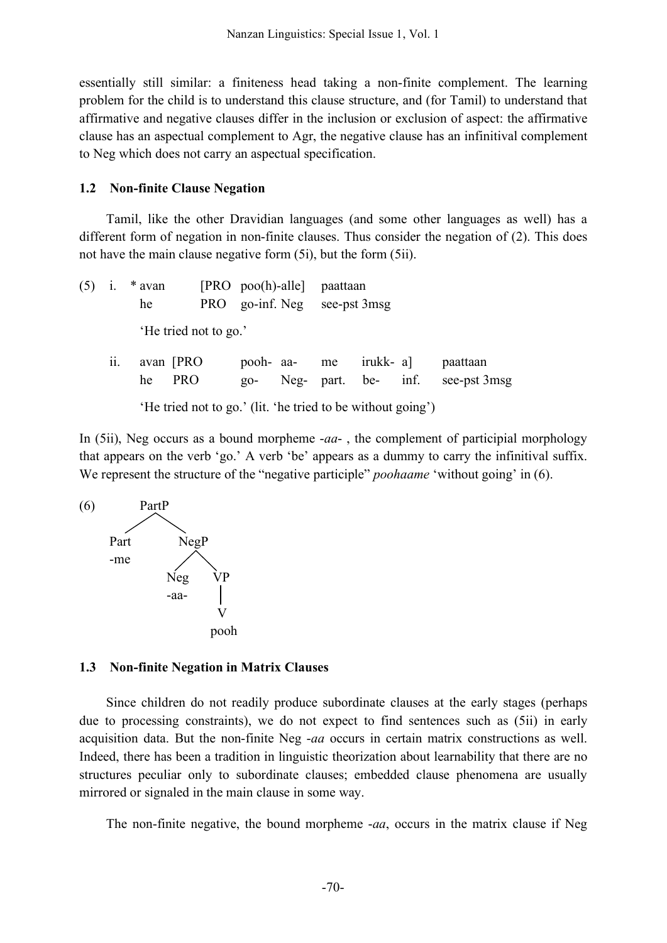essentially still similar: a finiteness head taking a non-finite complement. The learning problem for the child is to understand this clause structure, and (for Tamil) to understand that affirmative and negative clauses differ in the inclusion or exclusion of aspect: the affirmative clause has an aspectual complement to Agr, the negative clause has an infinitival complement to Neg which does not carry an aspectual specification.

#### **1.2 Non-finite Clause Negation**

Tamil, like the other Dravidian languages (and some other languages as well) has a different form of negation in non-finite clauses. Thus consider the negation of (2). This does not have the main clause negative form (5i), but the form (5ii).

(5) i. \* avan [PRO poo(h)-alle] paattaan he PRO go-inf. Neg see-pst 3msg 'He tried not to go.' ii. avan [PRO pooh- aa- me irukk- a] paattaan he PRO go- Neg- part. be- inf. see-pst 3msg 'He tried not to go.' (lit. 'he tried to be without going')

In (5ii), Neg occurs as a bound morpheme -*aa*- , the complement of participial morphology that appears on the verb 'go.' A verb 'be' appears as a dummy to carry the infinitival suffix. We represent the structure of the "negative participle" *poohaame* 'without going' in (6).



#### **1.3 Non-finite Negation in Matrix Clauses**

Since children do not readily produce subordinate clauses at the early stages (perhaps due to processing constraints), we do not expect to find sentences such as (5ii) in early acquisition data. But the non-finite Neg -*aa* occurs in certain matrix constructions as well. Indeed, there has been a tradition in linguistic theorization about learnability that there are no structures peculiar only to subordinate clauses; embedded clause phenomena are usually mirrored or signaled in the main clause in some way.

The non-finite negative, the bound morpheme -*aa*, occurs in the matrix clause if Neg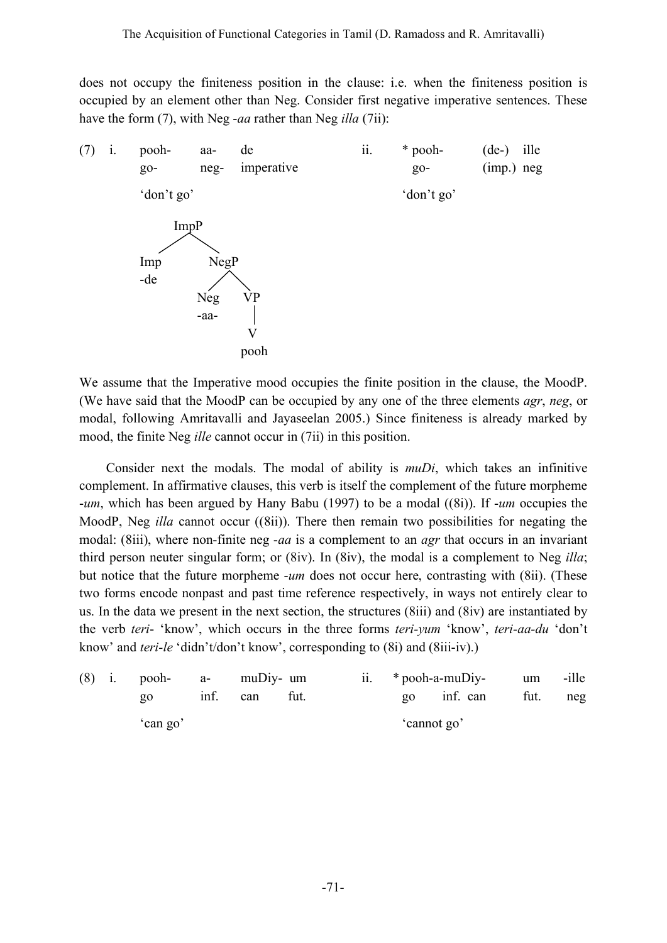does not occupy the finiteness position in the clause: i.e. when the finiteness position is occupied by an element other than Neg. Consider first negative imperative sentences. These have the form (7), with Neg -*aa* rather than Neg *illa* (7ii):



We assume that the Imperative mood occupies the finite position in the clause, the MoodP. (We have said that the MoodP can be occupied by any one of the three elements *agr*, *neg*, or modal, following Amritavalli and Jayaseelan 2005.) Since finiteness is already marked by mood, the finite Neg *ille* cannot occur in (7ii) in this position.

Consider next the modals. The modal of ability is *muDi*, which takes an infinitive complement. In affirmative clauses, this verb is itself the complement of the future morpheme -*um*, which has been argued by Hany Babu (1997) to be a modal ((8i)). If -*um* occupies the MoodP, Neg *illa* cannot occur ((8ii)). There then remain two possibilities for negating the modal: (8iii), where non-finite neg -*aa* is a complement to an *agr* that occurs in an invariant third person neuter singular form; or (8iv). In (8iv), the modal is a complement to Neg *illa*; but notice that the future morpheme -*um* does not occur here, contrasting with (8ii). (These two forms encode nonpast and past time reference respectively, in ways not entirely clear to us. In the data we present in the next section, the structures (8iii) and (8iv) are instantiated by the verb *teri*- 'know', which occurs in the three forms *teri-yum* 'know', *teri-aa-du* 'don't know' and *teri-le* 'didn't/don't know', corresponding to (8i) and (8iii-iv).)

|  | $(8)$ i. pooh- a- muDiy-um |      |     |      |                 | ii. * pooh-a-muDiy- | um   | -ille |
|--|----------------------------|------|-----|------|-----------------|---------------------|------|-------|
|  | $\overline{20}$            | inf. | can | fut. | 80 <sup>2</sup> | inf. can            | fut. | neg   |
|  | 'can go'                   |      |     |      |                 | 'cannot go'         |      |       |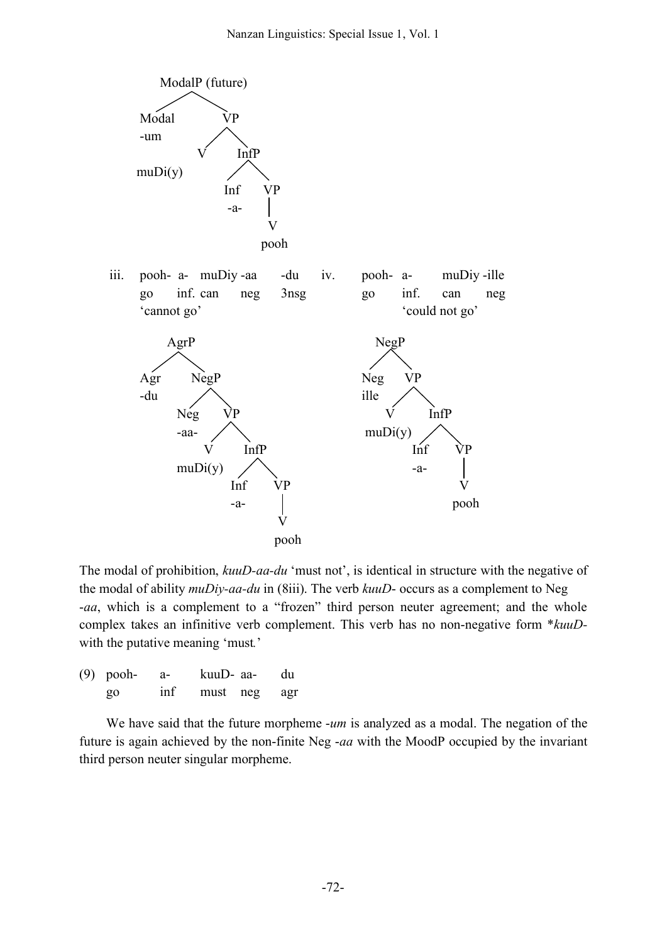

The modal of prohibition, *kuuD-aa-du* 'must not', is identical in structure with the negative of the modal of ability *muDiy-aa-du* in (8iii). The verb *kuuD*- occurs as a complement to Neg -*aa*, which is a complement to a "frozen" third person neuter agreement; and the whole complex takes an infinitive verb complement. This verb has no non-negative form \**kuuD*with the putative meaning 'must*.*'

| $(9)$ pooh- | $a-$ | kuuD- aa-    | du |
|-------------|------|--------------|----|
| go          | inf  | must neg agr |    |

We have said that the future morpheme *-um* is analyzed as a modal. The negation of the future is again achieved by the non-finite Neg -*aa* with the MoodP occupied by the invariant third person neuter singular morpheme.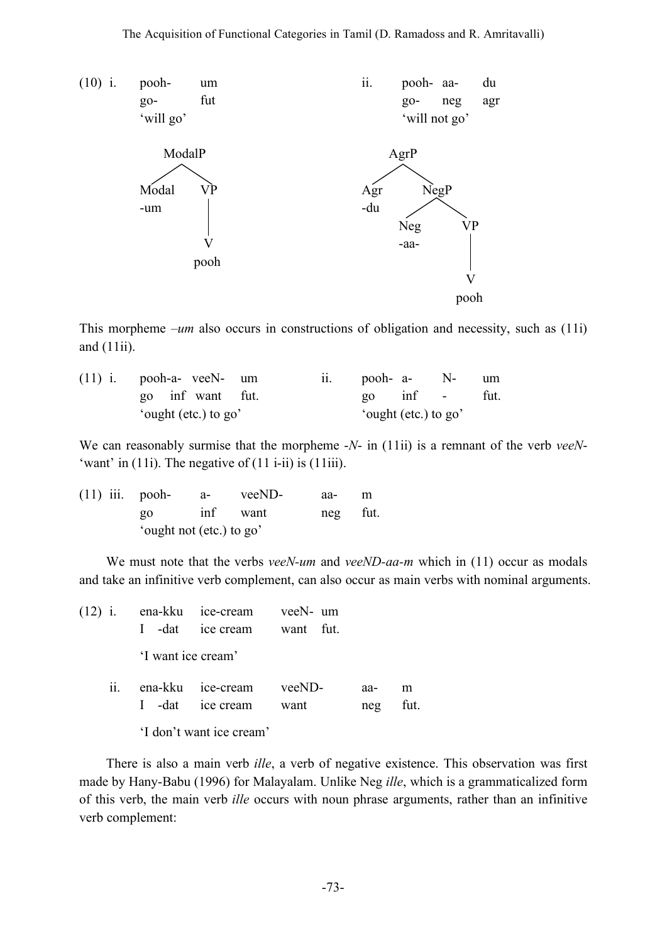

This morpheme –*um* also occurs in constructions of obligation and necessity, such as (11i) and (11ii).

| $(11)$ i. pooh-a- veeN- um |                      |  | pooh- a- N-          |               | um |
|----------------------------|----------------------|--|----------------------|---------------|----|
|                            | go inf want fut.     |  |                      | go inf - fut. |    |
|                            | 'ought (etc.) to go' |  | 'ought (etc.) to go' |               |    |

We can reasonably surmise that the morpheme -*N*- in (11ii) is a remnant of the verb *veeN*- 'want' in (11i). The negative of (11 i-ii) is (11iii).

| $(11)$ iii. pooh- |                          |  | a- veeND- | -aa      | m |
|-------------------|--------------------------|--|-----------|----------|---|
|                   | g <sub>O</sub>           |  | inf want  | neg fut. |   |
|                   | 'ought not (etc.) to go' |  |           |          |   |

We must note that the verbs *veeN-um* and *veeND-aa-m* which in (11) occur as modals and take an infinitive verb complement, can also occur as main verbs with nominal arguments.

|                                           | (12) i. ena-kku ice-cream veeN- um<br>I -dat ice cream want fut. |                 |   |
|-------------------------------------------|------------------------------------------------------------------|-----------------|---|
| 'I want ice cream'                        |                                                                  |                 |   |
| $\sim$ $\sim$ $\sim$ $\sim$ $\sim$ $\sim$ | ii. ena-kku ice-cream veeND-<br>I -dat ice cream want            | aa-<br>neg fut. | m |

'I don't want ice cream'

There is also a main verb *ille*, a verb of negative existence. This observation was first made by Hany-Babu (1996) for Malayalam. Unlike Neg *ille*, which is a grammaticalized form of this verb, the main verb *ille* occurs with noun phrase arguments, rather than an infinitive verb complement: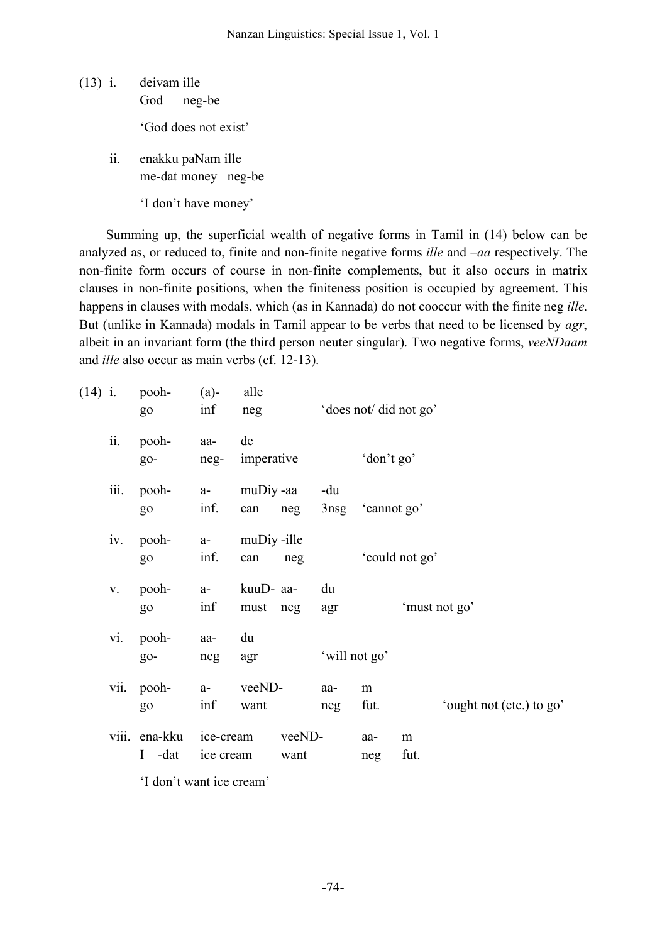- (13) i. deivam ille God neg-be 'God does not exist'
	- ii. enakku paNam ille me-dat money neg-be

'I don't have money'

Summing up, the superficial wealth of negative forms in Tamil in (14) below can be analyzed as, or reduced to, finite and non-finite negative forms *ille* and –*aa* respectively. The non-finite form occurs of course in non-finite complements, but it also occurs in matrix clauses in non-finite positions, when the finiteness position is occupied by agreement. This happens in clauses with modals, which (as in Kannada) do not cooccur with the finite neg *ille*. But (unlike in Kannada) modals in Tamil appear to be verbs that need to be licensed by *agr*, albeit in an invariant form (the third person neuter singular). Two negative forms, *veeNDaam* and *ille* also occur as main verbs (cf. 12-13).

| $(14)$ i. |      | pooh-<br><b>go</b>                    | $(a)-$<br>inf          | alle<br>neg           |                |               | 'does not/ did not go' |                |                          |
|-----------|------|---------------------------------------|------------------------|-----------------------|----------------|---------------|------------------------|----------------|--------------------------|
|           | ii.  | pooh-<br>$g_{0}$ -                    | aa-<br>neg-            | de<br>imperative      |                |               | 'don't go'             |                |                          |
|           | iii. | pooh-<br><b>go</b>                    | $a-$<br>inf.           | muDiy -aa<br>can      | neg            | -du<br>3nsg   | 'cannot go'            |                |                          |
|           | iv.  | pooh-<br>g <sub>o</sub>               | $a-$<br>inf.           | muDiy-ille<br>can     | neg            |               |                        | 'could not go' |                          |
|           | V.   | pooh-<br><b>go</b>                    | $a-$<br>inf            | kuuD- aa-<br>must neg |                | du<br>agr     |                        | 'must not go'  |                          |
|           | vi.  | pooh-<br>$g_{0}$ -                    | aa-<br>neg             | du<br>agr             |                | 'will not go' |                        |                |                          |
|           | vii. | pooh-<br><b>go</b>                    | $a-$<br>inf            | veeND-<br>want        |                | aa-<br>neg    | m<br>fut.              |                | 'ought not (etc.) to go' |
|           |      | viii. ena-kku<br>$\mathbf{I}$<br>-dat | ice-cream<br>ice cream |                       | veeND-<br>want |               | aa-<br>neg             | m<br>fut.      |                          |
|           |      | 'I don't want ice cream'              |                        |                       |                |               |                        |                |                          |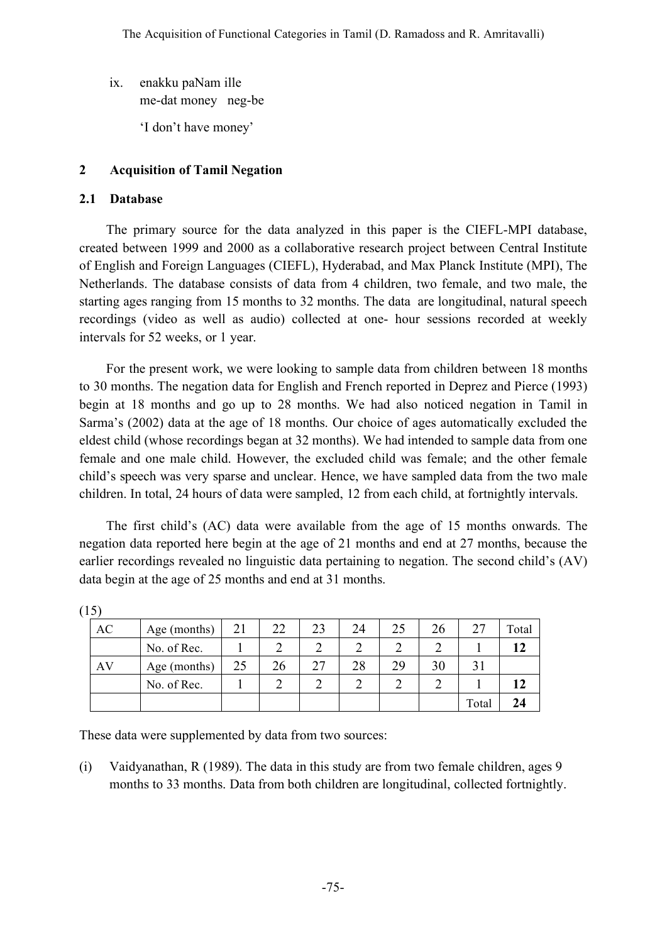ix. enakku paNam ille me-dat money neg-be

'I don't have money'

## **2 Acquisition of Tamil Negation**

# **2.1 Database**

The primary source for the data analyzed in this paper is the CIEFL-MPI database, created between 1999 and 2000 as a collaborative research project between Central Institute of English and Foreign Languages (CIEFL), Hyderabad, and Max Planck Institute (MPI), The Netherlands. The database consists of data from 4 children, two female, and two male, the starting ages ranging from 15 months to 32 months. The data are longitudinal, natural speech recordings (video as well as audio) collected at one- hour sessions recorded at weekly intervals for 52 weeks, or 1 year.

For the present work, we were looking to sample data from children between 18 months to 30 months. The negation data for English and French reported in Deprez and Pierce (1993) begin at 18 months and go up to 28 months. We had also noticed negation in Tamil in Sarma's (2002) data at the age of 18 months. Our choice of ages automatically excluded the eldest child (whose recordings began at 32 months). We had intended to sample data from one female and one male child. However, the excluded child was female; and the other female child's speech was very sparse and unclear. Hence, we have sampled data from the two male children. In total, 24 hours of data were sampled, 12 from each child, at fortnightly intervals.

The first child's (AC) data were available from the age of 15 months onwards. The negation data reported here begin at the age of 21 months and end at 27 months, because the earlier recordings revealed no linguistic data pertaining to negation. The second child's (AV) data begin at the age of 25 months and end at 31 months.

| AC | Age (months) | 21 | 22 | 23 | 24 | 25 | 26 | 27    | Total |
|----|--------------|----|----|----|----|----|----|-------|-------|
|    | No. of Rec.  |    |    |    |    |    |    |       |       |
| AV | Age (months) | 25 | 26 | 27 | 28 | 29 | 30 |       |       |
|    | No. of Rec.  |    |    |    |    |    |    |       |       |
|    |              |    |    |    |    |    |    | Total | 24    |

(15)

These data were supplemented by data from two sources:

(i) Vaidyanathan, R (1989). The data in this study are from two female children, ages 9 months to 33 months. Data from both children are longitudinal, collected fortnightly.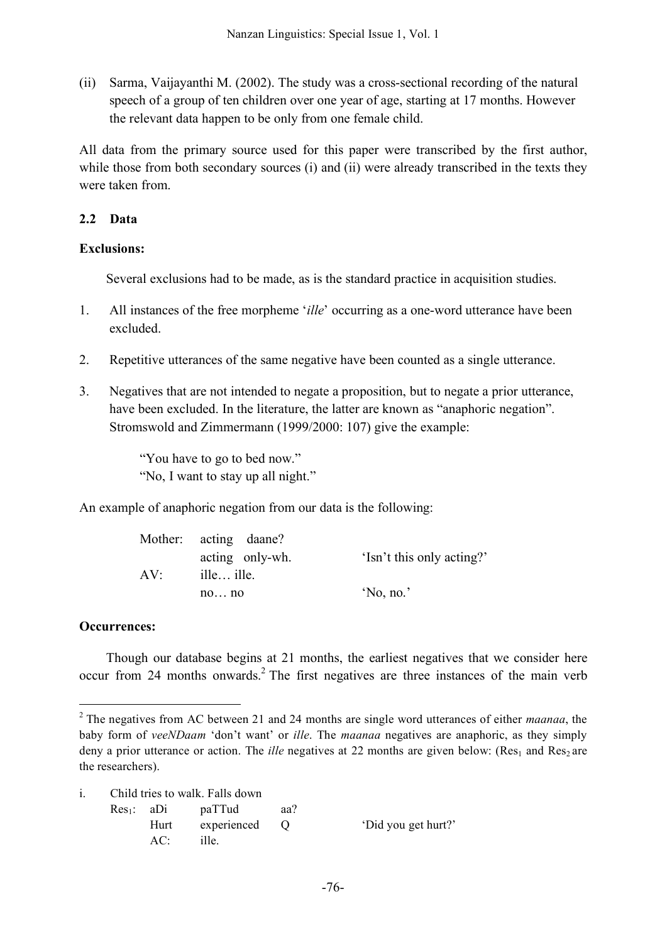(ii) Sarma, Vaijayanthi M. (2002). The study was a cross-sectional recording of the natural speech of a group of ten children over one year of age, starting at 17 months. However the relevant data happen to be only from one female child.

All data from the primary source used for this paper were transcribed by the first author, while those from both secondary sources (i) and (ii) were already transcribed in the texts they were taken from.

# **2.2 Data**

## **Exclusions:**

Several exclusions had to be made, as is the standard practice in acquisition studies.

- 1. All instances of the free morpheme '*ille*' occurring as a one-word utterance have been excluded.
- 2. Repetitive utterances of the same negative have been counted as a single utterance.
- 3. Negatives that are not intended to negate a proposition, but to negate a prior utterance, have been excluded. In the literature, the latter are known as "anaphoric negation". Stromswold and Zimmermann (1999/2000: 107) give the example:

"You have to go to bed now." "No, I want to stay up all night."

An example of anaphoric negation from our data is the following:

|     | Mother: acting daane? |                           |
|-----|-----------------------|---------------------------|
|     | acting only-wh.       | 'Isn't this only acting?' |
| AV: | ille ille.            |                           |
|     | nono                  | 'No, no.'                 |

## **Occurrences:**

Though our database begins at 21 months, the earliest negatives that we consider here occur from 24 months onwards.<sup>2</sup> The first negatives are three instances of the main verb

i. Child tries to walk. Falls down

|  | $Res_1$ : aDi paTTud | aa? |                     |
|--|----------------------|-----|---------------------|
|  | Hurt experienced Q   |     | 'Did you get hurt?' |
|  | $AC:$ ille.          |     |                     |

 <sup>2</sup> The negatives from AC between <sup>21</sup> and <sup>24</sup> months are single word utterances of either *maanaa*, the baby form of *veeNDaam* 'don't want' or *ille*. The *maanaa* negatives are anaphoric, as they simply deny a prior utterance or action. The *ille* negatives at 22 months are given below: (Res<sub>1</sub> and Res<sub>2</sub> are the researchers).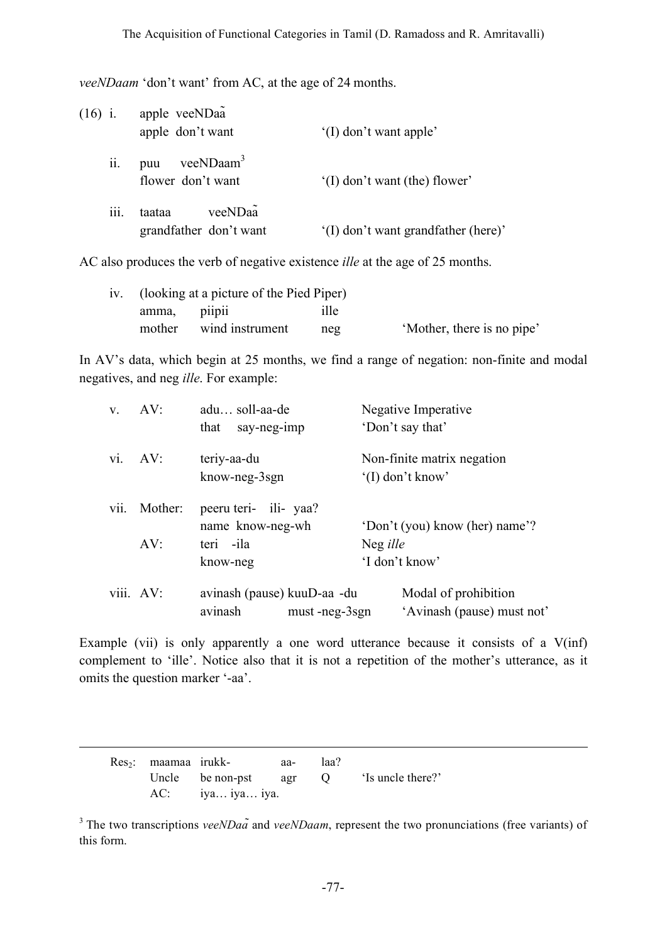*veeNDaam* 'don't want' from AC, at the age of 24 months.

| $(16)$ i. |      | apple veeNDaa<br>apple don't want              | '(I) don't want apple'             |
|-----------|------|------------------------------------------------|------------------------------------|
|           | ii.  | puu veeNDaam <sup>3</sup><br>flower don't want | '(I) don't want (the) flower'      |
|           | 111. | veeNDaa<br>taataa<br>grandfather don't want    | (I) don't want grandfather (here)' |

AC also produces the verb of negative existence *ille* at the age of 25 months.

| iv. (looking at a picture of the Pied Piper) |                 |      |                            |  |  |  |
|----------------------------------------------|-----------------|------|----------------------------|--|--|--|
| $amma$ , $piipi1$                            |                 | ille |                            |  |  |  |
| mother                                       | wind instrument | neg  | 'Mother, there is no pipe' |  |  |  |

In AV's data, which begin at 25 months, we find a range of negation: non-finite and modal negatives, and neg *ille*. For example:

| $V_{-}$                    | AV:       | adu soll-aa-de<br>that<br>say-neg-imp                   | Negative Imperative<br>'Don't say that'            |
|----------------------------|-----------|---------------------------------------------------------|----------------------------------------------------|
| $\overline{\mathbf{vi}}$ . | AV:       | teriy-aa-du                                             | Non-finite matrix negation                         |
|                            |           | know-neg-3sgn                                           | $'(I)$ don't know'                                 |
| vii.                       | Mother:   | peeru teri- ili- yaa?                                   |                                                    |
|                            |           | name know-neg-wh                                        | 'Don't (you) know (her) name'?                     |
|                            | AV:       | teri -ila                                               | Neg <i>ille</i>                                    |
|                            |           | know-neg                                                | 'I don't know'                                     |
|                            | viii. AV: | avinash (pause) kuuD-aa -du<br>avinash<br>must-neg-3sgn | Modal of prohibition<br>'Avinash (pause) must not' |

Example (vii) is only apparently a one word utterance because it consists of a V(inf) complement to 'ille'. Notice also that it is not a repetition of the mother's utterance, as it omits the question marker '-aa'.

| Res <sub>2</sub> : maamaa irukk- |                    | aa- | laa? |                                            |
|----------------------------------|--------------------|-----|------|--------------------------------------------|
|                                  |                    |     |      | Uncle be non-pst agr $Q$ 'Is uncle there?' |
|                                  | $AC:$ iya iya iya. |     |      |                                            |

<u>.</u>

<sup>3</sup> The two transcriptions *veeNDaã*and *veeNDaam*, represent the two pronunciations (free variants) of this form.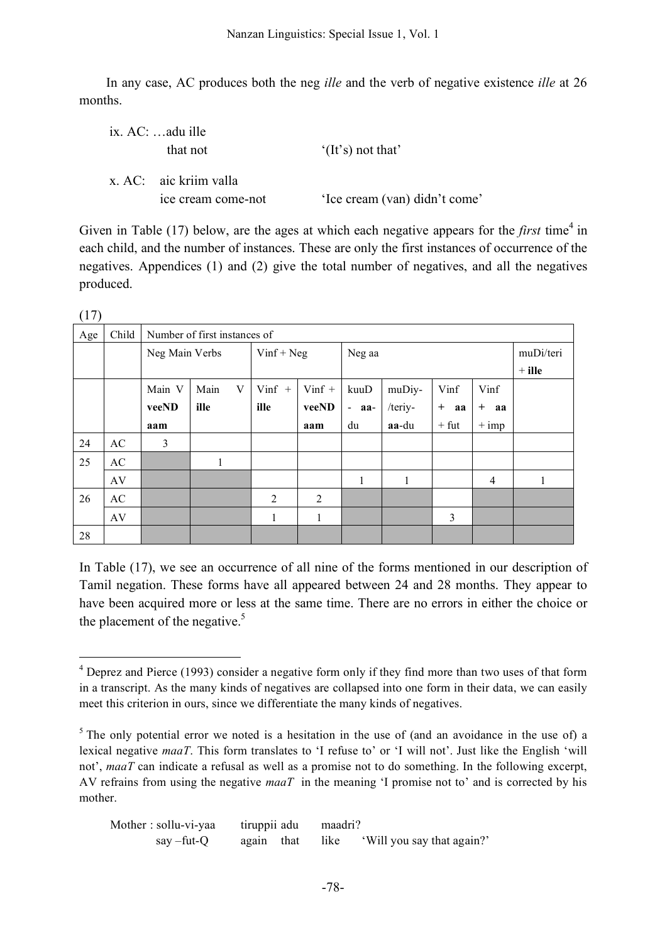In any case, AC produces both the neg *ille* and the verb of negative existence *ille* at 26 months.

| $ix. AC:  adu$ ille    |                               |
|------------------------|-------------------------------|
| that not               | '(It's) not that'             |
| x. AC: aic kriim valla |                               |
| ice cream come-not     | 'Ice cream (van) didn't come' |

Given in Table (17) below, are the ages at which each negative appears for the *first* time <sup>4</sup> in each child, and the number of instances. These are only the first instances of occurrence of the negatives. Appendices (1) and (2) give the total number of negatives, and all the negatives produced.

| $\sqrt{2}$ |       |                |                              |              |          |               |         |         |                |           |
|------------|-------|----------------|------------------------------|--------------|----------|---------------|---------|---------|----------------|-----------|
| Age        | Child |                | Number of first instances of |              |          |               |         |         |                |           |
|            |       | Neg Main Verbs |                              | $Vinf + Neg$ |          | Neg aa        |         |         |                | muDi/teri |
|            |       |                |                              |              |          |               |         |         |                | $+$ ille  |
|            |       | Main V         | V<br>Main                    | Vinf $+$     | Vinf $+$ | kuuD          | muDiy-  | Vinf    | Vinf           |           |
|            |       | veeND          | ille                         | ille         | veeND    | aa-<br>$\sim$ | /teriy- | $+$ aa  | $+$<br>aa      |           |
|            |       | aam            |                              |              | aam      | du            | aa-du   | $+$ fut | $+$ imp        |           |
| 24         | AC    | 3              |                              |              |          |               |         |         |                |           |
| 25         | AC    |                | 1                            |              |          |               |         |         |                |           |
|            | AV    |                |                              |              |          | 1             | 1       |         | $\overline{4}$ | 1         |
| 26         | AC    |                |                              | 2            | 2        |               |         |         |                |           |
|            | AV    |                |                              | $\mathbf{1}$ | 1        |               |         | 3       |                |           |
| 28         |       |                |                              |              |          |               |         |         |                |           |

In Table (17), we see an occurrence of all nine of the forms mentioned in our description of Tamil negation. These forms have all appeared between 24 and 28 months. They appear to have been acquired more or less at the same time. There are no errors in either the choice or the placement of the negative.<sup>5</sup>

<sup>&</sup>lt;sup>4</sup> Deprez and Pierce (1993) consider a negative form only if they find more than two uses of that form in a transcript. As the many kinds of negatives are collapsed into one form in their data, we can easily meet this criterion in ours, since we differentiate the many kinds of negatives.

 $5$  The only potential error we noted is a hesitation in the use of (and an avoidance in the use of) a lexical negative *maaT*. This form translates to 'I refuse to' or 'I will not'. Just like the English 'will not', *maaT* can indicate a refusal as well as a promise not to do something. In the following excerpt, AV refrains from using the negative *maaT* in the meaning 'I promise not to' and is corrected by his mother.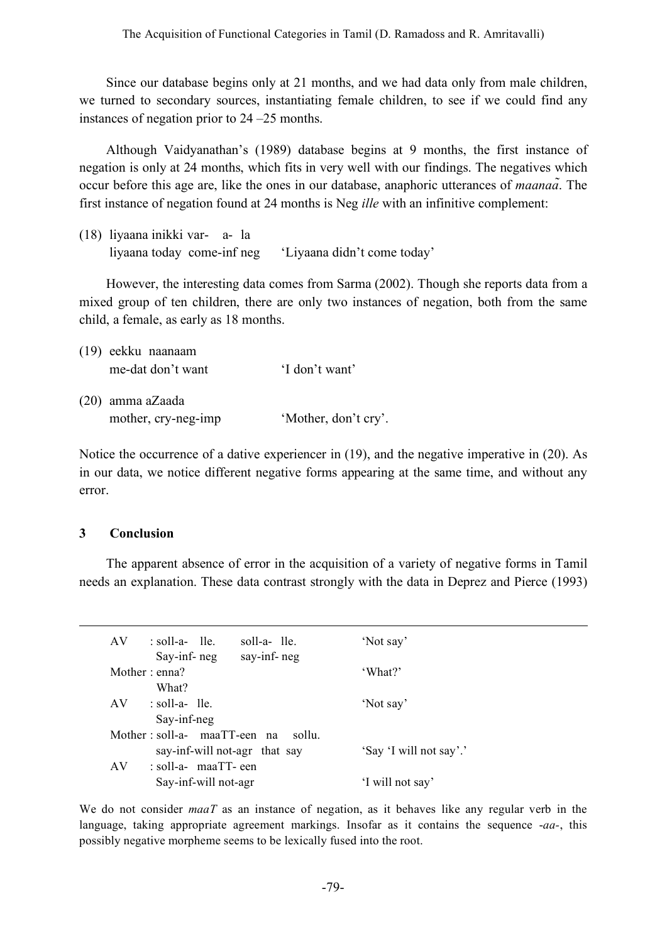Since our database begins only at 21 months, and we had data only from male children, we turned to secondary sources, instantiating female children, to see if we could find any instances of negation prior to 24 –25 months.

Although Vaidyanathan's (1989) database begins at 9 months, the first instance of negation is only at 24 months, which fits in very well with our findings. The negatives which occur before this age are, like the ones in our database, anaphoric utterances of *maanaã*. The first instance of negation found at 24 months is Neg *ille* with an infinitive complement:

| (18) liyaana inikki var- a- la |  |                             |  |
|--------------------------------|--|-----------------------------|--|
| liyaana today come-inf neg     |  | 'Liyaana didn't come today' |  |

However, the interesting data comes from Sarma (2002). Though she reports data from a mixed group of ten children, there are only two instances of negation, both from the same child, a female, as early as 18 months.

| (19) eekku naanaam<br>me-dat don't want | 'I don't want'       |
|-----------------------------------------|----------------------|
| (20) amma aZaada<br>mother, cry-neg-imp | 'Mother, don't cry'. |

Notice the occurrence of a dative experiencer in (19), and the negative imperative in (20). As in our data, we notice different negative forms appearing at the same time, and without any error.

#### **3 Conclusion**

<u>.</u>

The apparent absence of error in the acquisition of a variety of negative forms in Tamil needs an explanation. These data contrast strongly with the data in Deprez and Pierce (1993)

| AV<br>$\therefore$ soll-a- lle. | soll-a-lle.                   | 'Not say'               |  |
|---------------------------------|-------------------------------|-------------------------|--|
| Say-inf-neg                     | say-inf-neg                   |                         |  |
| Mother : enna?                  |                               | 'What?'                 |  |
| What?                           |                               |                         |  |
| $:$ soll-a- lle.<br>AV          |                               | 'Not say'               |  |
| Say-inf-neg                     |                               |                         |  |
| Mother: soll-a- maaTT-een na    | sollu.                        |                         |  |
|                                 | say-inf-will not-agr that say | 'Say 'I will not say'.' |  |
| AV<br>: soll-a- maaTT- een      |                               |                         |  |
| Say-inf-will not-agr            |                               | 'I will not say'        |  |

We do not consider *maaT* as an instance of negation, as it behaves like any regular verb in the language, taking appropriate agreement markings. Insofar as it contains the sequence -*aa-*, this possibly negative morpheme seems to be lexically fused into the root.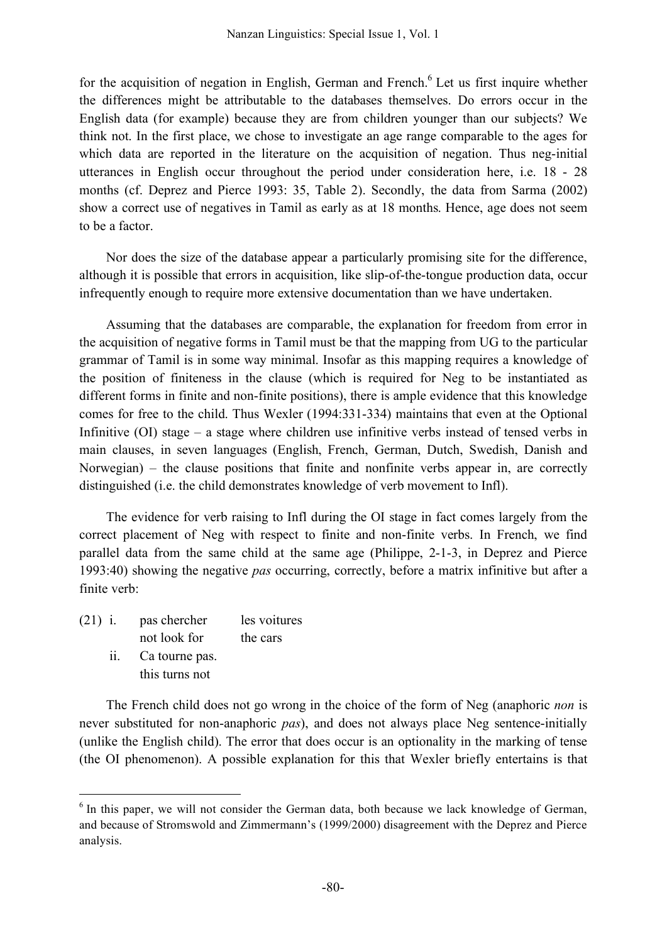for the acquisition of negation in English, German and French.<sup>6</sup> Let us first inquire whether the differences might be attributable to the databases themselves. Do errors occur in the English data (for example) because they are from children younger than our subjects? We think not. In the first place, we chose to investigate an age range comparable to the ages for which data are reported in the literature on the acquisition of negation. Thus neg-initial utterances in English occur throughout the period under consideration here, i.e. 18 - 28 months (cf. Deprez and Pierce 1993: 35, Table 2). Secondly, the data from Sarma (2002) show a correct use of negatives in Tamil as early as at 18 months. Hence, age does not seem to be a factor.

Nor does the size of the database appear a particularly promising site for the difference, although it is possible that errors in acquisition, like slip-of-the-tongue production data, occur infrequently enough to require more extensive documentation than we have undertaken.

Assuming that the databases are comparable, the explanation for freedom from error in the acquisition of negative forms in Tamil must be that the mapping from UG to the particular grammar of Tamil is in some way minimal. Insofar as this mapping requires a knowledge of the position of finiteness in the clause (which is required for Neg to be instantiated as different forms in finite and non-finite positions), there is ample evidence that this knowledge comes for free to the child. Thus Wexler (1994:331-334) maintains that even at the Optional Infinitive (OI) stage – a stage where children use infinitive verbs instead of tensed verbs in main clauses, in seven languages (English, French, German, Dutch, Swedish, Danish and Norwegian) – the clause positions that finite and nonfinite verbs appear in, are correctly distinguished (i.e. the child demonstrates knowledge of verb movement to Infl).

The evidence for verb raising to Infl during the OI stage in fact comes largely from the correct placement of Neg with respect to finite and non-finite verbs. In French, we find parallel data from the same child at the same age (Philippe, 2-1-3, in Deprez and Pierce 1993:40) showing the negative *pas* occurring, correctly, before a matrix infinitive but after a finite verb:

|     |                | les voitures |
|-----|----------------|--------------|
|     | not look for   | the cars     |
| 11. | Ca tourne pas. |              |
|     | this turns not |              |
|     | $(21)$ i.      | pas chercher |

The French child does not go wrong in the choice of the form of Neg (anaphoric *non* is never substituted for non-anaphoric *pas*), and does not always place Neg sentence-initially (unlike the English child). The error that does occur is an optionality in the marking of tense (the OI phenomenon). A possible explanation for this that Wexler briefly entertains is that

<sup>&</sup>lt;sup>6</sup> In this paper, we will not consider the German data, both because we lack knowledge of German, and because of Stromswold and Zimmermann's (1999/2000) disagreement with the Deprez and Pierce analysis.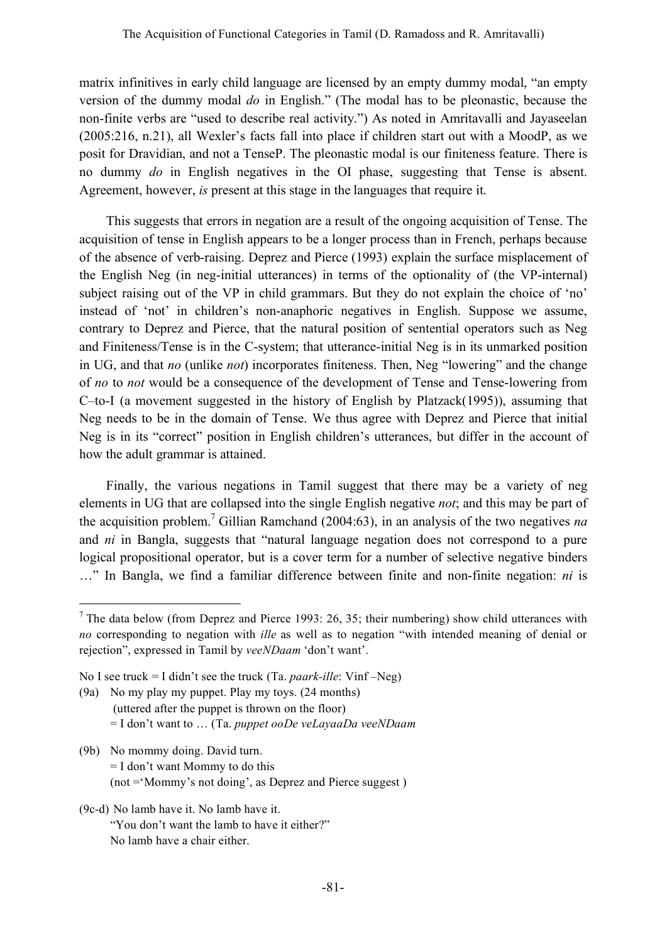matrix infinitives in early child language are licensed by an empty dummy modal, "an empty version of the dummy modal *do* in English." (The modal has to be pleonastic, because the non-finite verbs are "used to describe real activity.") As noted in Amritavalli and Jayaseelan (2005:216, n.21), all Wexler's facts fall into place if children start out with a MoodP, as we posit for Dravidian, and not a TenseP. The pleonastic modal is our finiteness feature. There is no dummy *do* in English negatives in the OI phase, suggesting that Tense is absent. Agreement, however, *is* present at this stage in the languages that require it.

This suggests that errors in negation are a result of the ongoing acquisition of Tense. The acquisition of tense in English appears to be a longer process than in French, perhaps because of the absence of verb-raising. Deprez and Pierce (1993) explain the surface misplacement of the English Neg (in neg-initial utterances) in terms of the optionality of (the VP-internal) subject raising out of the VP in child grammars. But they do not explain the choice of 'no' instead of 'not' in children's non-anaphoric negatives in English. Suppose we assume, contrary to Deprez and Pierce, that the natural position of sentential operators such as Neg and Finiteness/Tense is in the C-system; that utterance-initial Neg is in its unmarked position in UG, and that *no* (unlike *not*) incorporates finiteness. Then, Neg "lowering" and the change of *no* to *not* would be a consequence of the development of Tense and Tense-lowering from C–to-I (a movement suggested in the history of English by Platzack(1995)), assuming that Neg needs to be in the domain of Tense. We thus agree with Deprez and Pierce that initial Neg is in its "correct" position in English children's utterances, but differ in the account of how the adult grammar is attained.

Finally, the various negations in Tamil suggest that there may be a variety of neg elements in UG that are collapsed into the single English negative *not*; and this may be part of the acquisition problem. <sup>7</sup> Gillian Ramchand (2004:63), in an analysis of the two negatives *na* and *ni* in Bangla, suggests that "natural language negation does not correspond to a pure logical propositional operator, but is a cover term for a number of selective negative binders …" In Bangla, we find a familiar difference between finite and non-finite negation: *ni* is

- (9a) No my play my puppet. Play my toys. (24 months) (uttered after the puppet is thrown on the floor) = I don't want to … (Ta. *puppet ooDe veLayaaDa veeNDaam*
- (9b) No mommy doing. David turn.  $=$  I don't want Mommy to do this (not ='Mommy's not doing', as Deprez and Pierce suggest )
- (9c-d) No lamb have it. No lamb have it. "You don't want the lamb to have it either?" No lamb have a chair either.

<sup>&</sup>lt;sup>7</sup> The data below (from Deprez and Pierce 1993: 26, 35; their numbering) show child utterances with *no* corresponding to negation with *ille* as well as to negation "with intended meaning of denial or rejection", expressed in Tamil by *veeNDaam* 'don't want'.

No I see truck = I didn't see the truck (Ta. *paark-ille*: Vinf –Neg)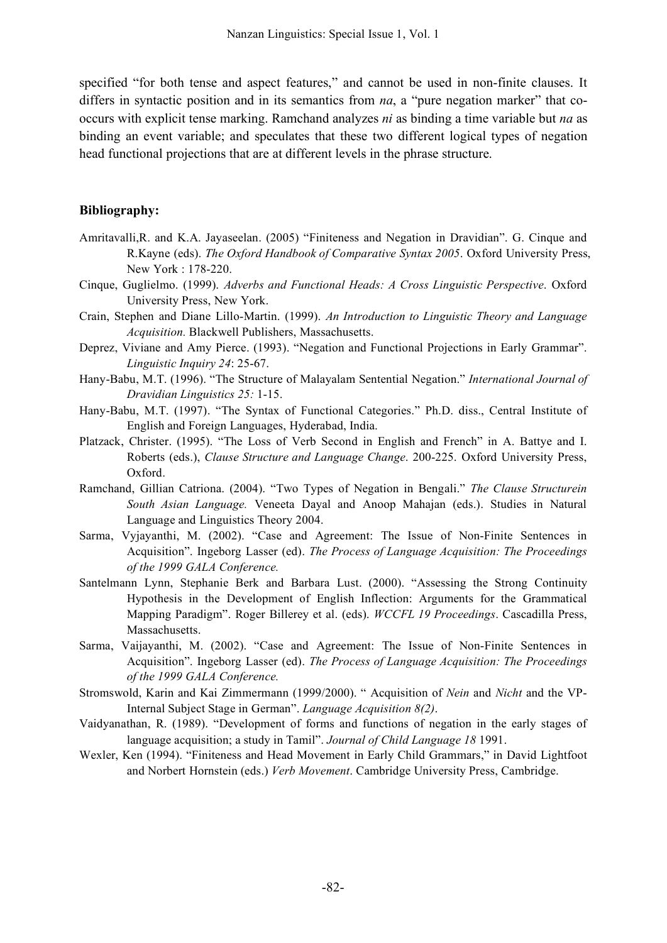specified "for both tense and aspect features," and cannot be used in non-finite clauses. It differs in syntactic position and in its semantics from *na*, a "pure negation marker" that cooccurs with explicit tense marking. Ramchand analyzes *ni* as binding a time variable but *na* as binding an event variable; and speculates that these two different logical types of negation head functional projections that are at different levels in the phrase structure.

#### **Bibliography:**

- Amritavalli,R. and K.A. Jayaseelan. (2005) "Finiteness and Negation in Dravidian". G. Cinque and R.Kayne (eds). *The Oxford Handbook of Comparative Syntax 2005*. Oxford University Press, New York : 178-220.
- Cinque, Guglielmo. (1999). *Adverbs and Functional Heads: A Cross Linguistic Perspective*. Oxford University Press, New York.
- Crain, Stephen and Diane Lillo-Martin. (1999). *An Introduction to Linguistic Theory and Language Acquisition.* Blackwell Publishers, Massachusetts.
- Deprez, Viviane and Amy Pierce. (1993). "Negation and Functional Projections in Early Grammar". *Linguistic Inquiry 24*: 25-67.
- Hany-Babu, M.T. (1996). "The Structure of Malayalam Sentential Negation." *International Journal of Dravidian Linguistics 25:* 1-15.
- Hany-Babu, M.T. (1997). "The Syntax of Functional Categories." Ph.D. diss., Central Institute of English and Foreign Languages, Hyderabad, India.
- Platzack, Christer. (1995). "The Loss of Verb Second in English and French" in A. Battye and I. Roberts (eds.), *Clause Structure and Language Change*. 200-225. Oxford University Press, Oxford.
- Ramchand, Gillian Catriona. (2004). "Two Types of Negation in Bengali." *The Clause Structurein South Asian Language.* Veneeta Dayal and Anoop Mahajan (eds.). Studies in Natural Language and Linguistics Theory 2004.
- Sarma, Vyjayanthi, M. (2002). "Case and Agreement: The Issue of Non-Finite Sentences in Acquisition". Ingeborg Lasser (ed). *The Process of Language Acquisition: The Proceedings of the 1999 GALA Conference.*
- Santelmann Lynn, Stephanie Berk and Barbara Lust. (2000). "Assessing the Strong Continuity Hypothesis in the Development of English Inflection: Arguments for the Grammatical Mapping Paradigm". Roger Billerey et al. (eds). *WCCFL 19 Proceedings*. Cascadilla Press, Massachusetts.
- Sarma, Vaijayanthi, M. (2002). "Case and Agreement: The Issue of Non-Finite Sentences in Acquisition". Ingeborg Lasser (ed). *The Process of Language Acquisition: The Proceedings of the 1999 GALA Conference.*
- Stromswold, Karin and Kai Zimmermann (1999/2000). " Acquisition of *Nein* and *Nicht* and the VP-Internal Subject Stage in German". *Language Acquisition 8(2)*.
- Vaidyanathan, R. (1989). "Development of forms and functions of negation in the early stages of language acquisition; a study in Tamil". *Journal of Child Language 18* 1991.
- Wexler, Ken (1994). "Finiteness and Head Movement in Early Child Grammars," in David Lightfoot and Norbert Hornstein (eds.) *Verb Movement*. Cambridge University Press, Cambridge.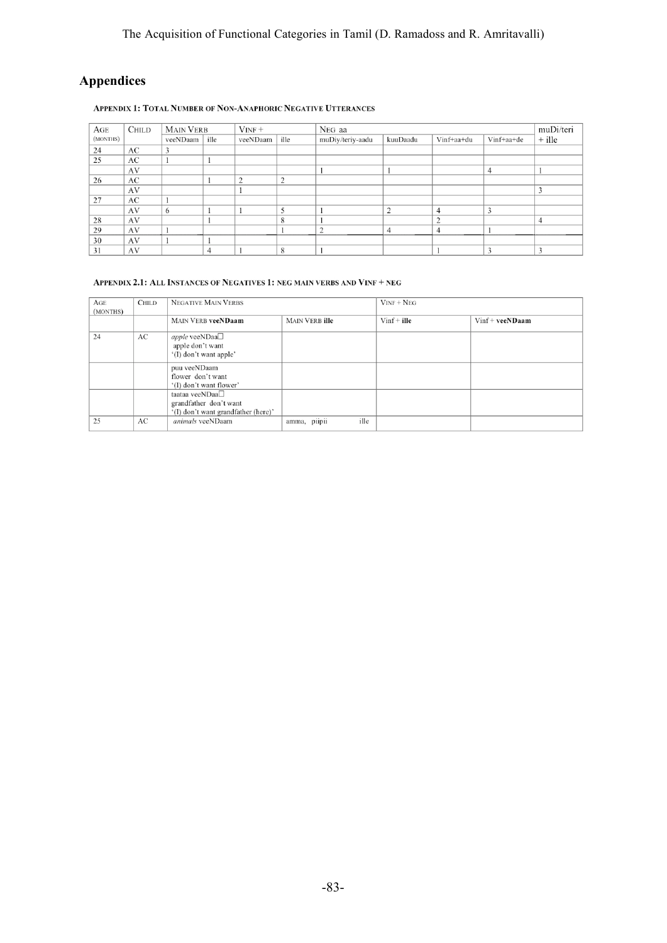# The Acquisition of Functional Categories in Tamil (D. Ramadoss and R. Amritavalli)

# **Appendices**

#### APPENDIX 1: TOTAL NUMBER OF NON-ANAPHORIC NEGATIVE UTTERANCES

| AGE      | <b>CHILD</b> | <b>MAIN VERB</b> |      | $V$ INF + |              | NEG aa           |          | muDi/teri      |            |                |
|----------|--------------|------------------|------|-----------|--------------|------------------|----------|----------------|------------|----------------|
| (MONTHS) |              | veeNDaam         | ille | veeNDaam  | ille         | muDiy/teriy-aadu | kuuDaadu | Vinf+aa+du     | Vinf+aa+de | $+$ ille       |
| 24       | AC           | 3                |      |           |              |                  |          |                |            |                |
| 25       | AC           |                  |      |           |              |                  |          |                |            |                |
|          | AV           |                  |      |           |              |                  |          |                | 4          |                |
| 26       | AC           |                  |      | Δ         | $\sim$       |                  |          |                |            |                |
|          | AV           |                  |      |           |              |                  |          |                |            | 3              |
| 27       | AC           |                  |      |           |              |                  |          |                |            |                |
|          | AV           | 6                |      |           |              |                  | $\sim$   | $\overline{4}$ |            |                |
| 28       | AV           |                  |      |           | 8            |                  |          | $\sim$         |            | $\overline{4}$ |
| 29       | AV           |                  |      |           |              | $\Delta$         | 4        | 4              |            |                |
| 30       | AV           |                  |      |           |              |                  |          |                |            |                |
| 31       | AV           |                  | 4    |           | $\mathbf{R}$ |                  |          |                |            |                |

#### APPENDIX 2.1: ALL INSTANCES OF NEGATIVES 1: NEG MAIN VERBS AND VINF + NEG

| AGE<br>(MONTHS) | <b>CHILD</b> | <b>NEGATIVE MAIN VERBS</b>                                                       |                       | $VINF + NEG$  |                   |
|-----------------|--------------|----------------------------------------------------------------------------------|-----------------------|---------------|-------------------|
|                 |              | <b>MAIN VERB veeNDaam</b>                                                        | <b>MAIN VERB ille</b> | $Vinf + ille$ | $Vinf + veeNDaam$ |
| 24              | AC           | apple veeNDaa□<br>apple don't want<br>'(I) don't want apple'                     |                       |               |                   |
|                 |              | puu veeNDaam<br>flower don't want<br>'(I) don't want flower'                     |                       |               |                   |
|                 |              | taataa veeNDaa□<br>grandfather don't want<br>'(I) don't want grandfather (here)' |                       |               |                   |
| 25              | AC           | animals veeNDaam                                                                 | amma, piipii<br>ille  |               |                   |